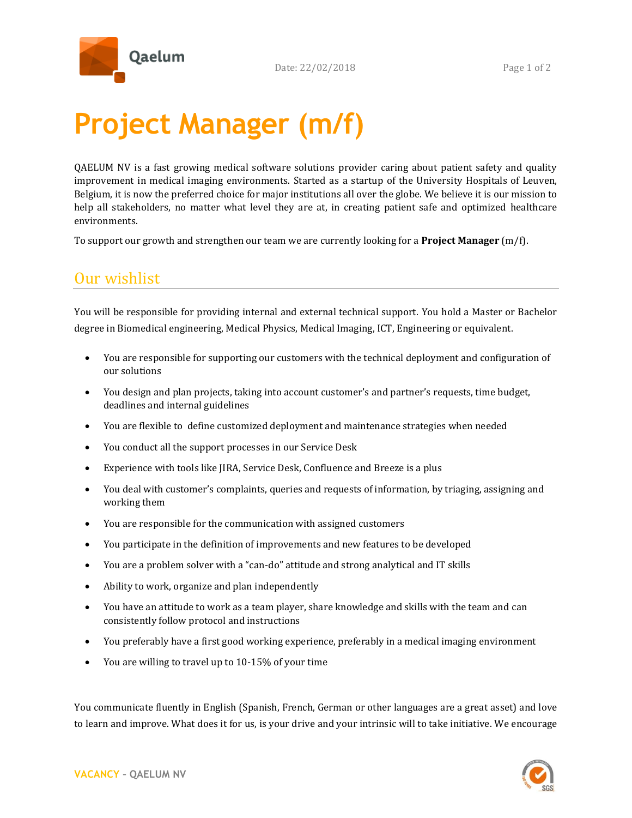

## **Project Manager (m/f)**

QAELUM NV is a fast growing medical software solutions provider caring about patient safety and quality improvement in medical imaging environments. Started as a startup of the University Hospitals of Leuven, Belgium, it is now the preferred choice for major institutions all over the globe. We believe it is our mission to help all stakeholders, no matter what level they are at, in creating patient safe and optimized healthcare environments.

To support our growth and strengthen our team we are currently looking for a **Project Manager** (m/f).

## Our wishlist

You will be responsible for providing internal and external technical support. You hold a Master or Bachelor degree in Biomedical engineering, Medical Physics, Medical Imaging, ICT, Engineering or equivalent.

- You are responsible for supporting our customers with the technical deployment and configuration of our solutions
- You design and plan projects, taking into account customer's and partner's requests, time budget, deadlines and internal guidelines
- You are flexible to define customized deployment and maintenance strategies when needed
- You conduct all the support processes in our Service Desk
- Experience with tools like JIRA, Service Desk, Confluence and Breeze is a plus
- You deal with customer's complaints, queries and requests of information, by triaging, assigning and working them
- You are responsible for the communication with assigned customers
- You participate in the definition of improvements and new features to be developed
- You are a problem solver with a "can-do" attitude and strong analytical and IT skills
- Ability to work, organize and plan independently
- You have an attitude to work as a team player, share knowledge and skills with the team and can consistently follow protocol and instructions
- You preferably have a first good working experience, preferably in a medical imaging environment
- You are willing to travel up to 10-15% of your time

You communicate fluently in English (Spanish, French, German or other languages are a great asset) and love to learn and improve. What does it for us, is your drive and your intrinsic will to take initiative. We encourage